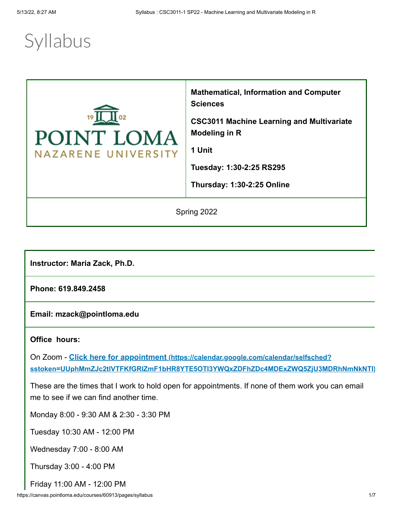# **Syllabus**



**Mathematical, Information and Computer Sciences**

**CSC3011 Machine Learning and Multivariate Modeling in R**

**1 Unit**

**Tuesday: 1:30-2:25 RS295**

**Thursday: 1:30-2:25 Online**

Spring 2022

**Instructor: Maria Zack, Ph.D.**

**Phone: 619.849.2458**

**Email: mzack@pointloma.edu**

## **Office hours:**

On Zoom - **Click here for appointment (https://calendar.google.com/calendar/selfsched? [sstoken=UUphMmZJc2tlVTFKfGRlZmF1bHR8YTE5OTI3YWQxZDFhZDc4MDExZWQ5ZjU3MDRhNmNkNTI\)](https://calendar.google.com/calendar/selfsched?sstoken=UUphMmZJc2tlVTFKfGRlZmF1bHR8YTE5OTI3YWQxZDFhZDc4MDExZWQ5ZjU3MDRhNmNkNTI)**

These are the times that I work to hold open for appointments. If none of them work you can email me to see if we can find another time.

Monday 8:00 - 9:30 AM & 2:30 - 3:30 PM

Tuesday 10:30 AM - 12:00 PM

Wednesday 7:00 - 8:00 AM

Thursday 3:00 - 4:00 PM

Friday 11:00 AM - 12:00 PM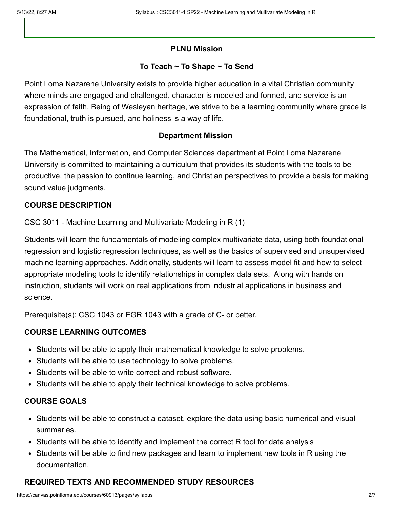## **PLNU Mission**

#### **To Teach ~ To Shape ~ To Send**

Point Loma Nazarene University exists to provide higher education in a vital Christian community where minds are engaged and challenged, character is modeled and formed, and service is an expression of faith. Being of Wesleyan heritage, we strive to be a learning community where grace is foundational, truth is pursued, and holiness is a way of life.

#### **Department Mission**

The Mathematical, Information, and Computer Sciences department at Point Loma Nazarene University is committed to maintaining a curriculum that provides its students with the tools to be productive, the passion to continue learning, and Christian perspectives to provide a basis for making sound value judgments.

#### **COURSE DESCRIPTION**

CSC 3011 - Machine Learning and Multivariate Modeling in R (1)

Students will learn the fundamentals of modeling complex multivariate data, using both foundational regression and logistic regression techniques, as well as the basics of supervised and unsupervised machine learning approaches. Additionally, students will learn to assess model fit and how to select appropriate modeling tools to identify relationships in complex data sets. Along with hands on instruction, students will work on real applications from industrial applications in business and science.

Prerequisite(s): CSC 1043 or EGR 1043 with a grade of C- or better.

# **COURSE LEARNING OUTCOMES**

- Students will be able to apply their mathematical knowledge to solve problems.
- Students will be able to use technology to solve problems.
- Students will be able to write correct and robust software.
- Students will be able to apply their technical knowledge to solve problems.

#### **COURSE GOALS**

- Students will be able to construct a dataset, explore the data using basic numerical and visual summaries.
- $\bullet$  Students will be able to identify and implement the correct R tool for data analysis
- Students will be able to find new packages and learn to implement new tools in R using the documentation.

# **REQUIRED TEXTS AND RECOMMENDED STUDY RESOURCES**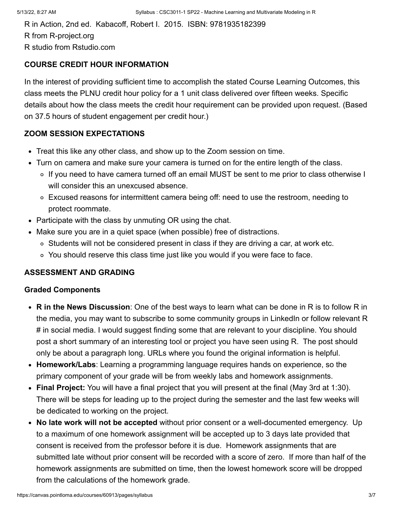R in Action, 2nd ed. Kabacoff, Robert I. 2015. ISBN: 9781935182399 R from R-project.org R studio from Rstudio.com

## **COURSE CREDIT HOUR INFORMATION**

In the interest of providing sufficient time to accomplish the stated Course Learning Outcomes, this class meets the PLNU credit hour policy for a 1 unit class delivered over fifteen weeks. Specific details about how the class meets the credit hour requirement can be provided upon request. (Based on 37.5 hours of student engagement per credit hour.)

## **ZOOM SESSION EXPECTATIONS**

- Treat this like any other class, and show up to the Zoom session on time.
- Turn on camera and make sure your camera is turned on for the entire length of the class.
	- If you need to have camera turned off an email MUST be sent to me prior to class otherwise I will consider this an unexcused absence.
	- Excused reasons for intermittent camera being off: need to use the restroom, needing to protect roommate.
- Participate with the class by unmuting OR using the chat.
- Make sure you are in a quiet space (when possible) free of distractions.
	- Students will not be considered present in class if they are driving a car, at work etc.
	- You should reserve this class time just like you would if you were face to face.

## **ASSESSMENT AND GRADING**

#### **Graded Components**

- **R in the News Discussion**: One of the best ways to learn what can be done in R is to follow R in the media, you may want to subscribe to some community groups in LinkedIn or follow relevant R # in social media. I would suggest finding some that are relevant to your discipline. You should post a short summary of an interesting tool or project you have seen using R. The post should only be about a paragraph long. URLs where you found the original information is helpful.
- **Homework/Labs**: Learning a programming language requires hands on experience, so the primary component of your grade will be from weekly labs and homework assignments.
- **Final Project:** You will have a final project that you will present at the final (May 3rd at 1:30). There will be steps for leading up to the project during the semester and the last few weeks will be dedicated to working on the project.
- **No late work will not be accepted** without prior consent or a well-documented emergency. Up to a maximum of one homework assignment will be accepted up to 3 days late provided that consent is received from the professor before it is due. Homework assignments that are submitted late without prior consent will be recorded with a score of zero. If more than half of the homework assignments are submitted on time, then the lowest homework score will be dropped from the calculations of the homework grade.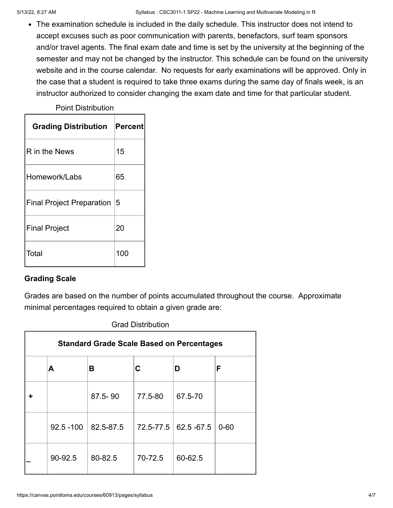The examination schedule is included in the daily schedule. This instructor does not intend to accept excuses such as poor communication with parents, benefactors, surf team sponsors and/or travel agents. The final exam date and time is set by the university at the beginning of the semester and may not be changed by the instructor. This schedule can be found on the university website and in the course calendar. No requests for early examinations will be approved. Only in the case that a student is required to take three exams during the same day of finals week, is an instructor authorized to consider changing the exam date and time for that particular student.

## Point Distribution

| <b>Grading Distribution</b>      | Percent |
|----------------------------------|---------|
| R in the News                    | 15      |
| Homework/Labs                    | 65      |
| <b>Final Project Preparation</b> | 15      |
| <b>Final Project</b>             | 20      |
| Total                            | 100     |

# **Grading Scale**

Grades are based on the number of points accumulated throughout the course. Approximate minimal percentages required to obtain a given grade are:

| <b>Standard Grade Scale Based on Percentages</b> |              |           |           |             |          |  |  |  |
|--------------------------------------------------|--------------|-----------|-----------|-------------|----------|--|--|--|
|                                                  | Α            | в         | C         | D           | F        |  |  |  |
|                                                  |              | 87.5-90   | 77.5-80   | 67.5-70     |          |  |  |  |
|                                                  | $92.5 - 100$ | 82.5-87.5 | 72.5-77.5 | 62.5 - 67.5 | $0 - 60$ |  |  |  |
|                                                  | 90-92.5      | 80-82.5   | 70-72.5   | 60-62.5     |          |  |  |  |

## Grad Distribution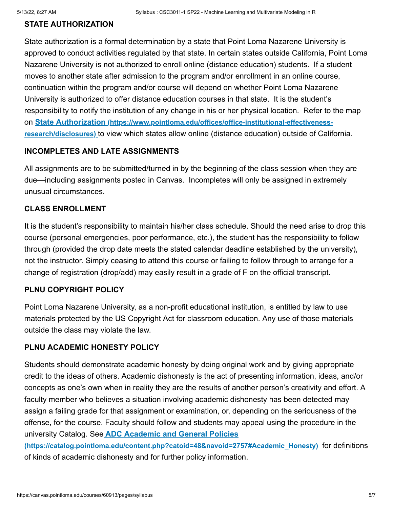## **STATE AUTHORIZATION**

State authorization is a formal determination by a state that Point Loma Nazarene University is approved to conduct activities regulated by that state. In certain states outside California, Point Loma Nazarene University is not authorized to enroll online (distance education) students. If a student moves to another state after admission to the program and/or enrollment in an online course, continuation within the program and/or course will depend on whether Point Loma Nazarene University is authorized to offer distance education courses in that state. It is the student's responsibility to notify the institution of any change in his or her physical location. Refer to the map on **State Authorization (https://www.pointloma.edu/offices/office-institutional-effectivenessresearch/disclosures)** [to view which states allow online \(distance education\) outside of Calif](https://www.pointloma.edu/offices/office-institutional-effectiveness-research/disclosures)ornia.

## **INCOMPLETES AND LATE ASSIGNMENTS**

All assignments are to be submitted/turned in by the beginning of the class session when they are due—including assignments posted in Canvas. Incompletes will only be assigned in extremely unusual circumstances.

## **CLASS ENROLLMENT**

It is the student's responsibility to maintain his/her class schedule. Should the need arise to drop this course (personal emergencies, poor performance, etc.), the student has the responsibility to follow through (provided the drop date meets the stated calendar deadline established by the university), not the instructor. Simply ceasing to attend this course or failing to follow through to arrange for a change of registration (drop/add) may easily result in a grade of F on the official transcript.

#### **PLNU COPYRIGHT POLICY**

Point Loma Nazarene University, as a non-profit educational institution, is entitled by law to use materials protected by the US Copyright Act for classroom education. Any use of those materials outside the class may violate the law.

## **PLNU ACADEMIC HONESTY POLICY**

Students should demonstrate academic honesty by doing original work and by giving appropriate credit to the ideas of others. Academic dishonesty is the act of presenting information, ideas, and/or concepts as one's own when in reality they are the results of another person's creativity and effort. A faculty member who believes a situation involving academic dishonesty has been detected may assign a failing grade for that assignment or examination, or, depending on the seriousness of the offense, for the course. Faculty should follow and students may appeal using the procedure in the university Catalog. See **ADC Academic and General Policies**

**[\(https://catalog.pointloma.edu/content.php?catoid=48&navoid=2757#Academic\\_Honesty\)](https://catalog.pointloma.edu/content.php?catoid=48&navoid=2757#Academic_Honesty)** for definitions of kinds of academic dishonesty and for further policy information.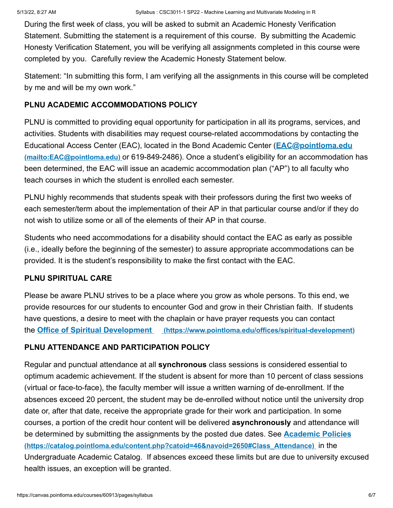During the first week of class, you will be asked to submit an Academic Honesty Verification Statement. Submitting the statement is a requirement of this course. By submitting the Academic Honesty Verification Statement, you will be verifying all assignments completed in this course were completed by you. Carefully review the Academic Honesty Statement below.

Statement: "In submitting this form, I am verifying all the assignments in this course will be completed by me and will be my own work."

# **PLNU ACADEMIC ACCOMMODATIONS POLICY**

PLNU is committed to providing equal opportunity for participation in all its programs, services, and activities. Students with disabilities may request course-related accommodations by contacting the [Educational Access Center \(EAC\), located in the Bond Academic Center \(](mailto:EAC@pointloma.edu)**EAC@pointloma.edu (mailto:EAC@pointloma.edu)** or 619-849-2486). Once a student's eligibility for an accommodation has been determined, the EAC will issue an academic accommodation plan ("AP") to all faculty who teach courses in which the student is enrolled each semester.

PLNU highly recommends that students speak with their professors during the first two weeks of each semester/term about the implementation of their AP in that particular course and/or if they do not wish to utilize some or all of the elements of their AP in that course.

Students who need accommodations for a disability should contact the EAC as early as possible (i.e., ideally before the beginning of the semester) to assure appropriate accommodations can be provided. It is the student's responsibility to make the first contact with the EAC.

## **PLNU SPIRITUAL CARE**

Please be aware PLNU strives to be a place where you grow as whole persons. To this end, we provide resources for our students to encounter God and grow in their Christian faith. If students have questions, a desire to meet with the chaplain or have prayer requests you can contact the **Office of Spiritual Development [\(https://www.pointloma.edu/offices/spiritual-development\)](https://www.pointloma.edu/offices/spiritual-development)**

# **PLNU ATTENDANCE AND PARTICIPATION POLICY**

Regular and punctual attendance at all **synchronous** class sessions is considered essential to optimum academic achievement. If the student is absent for more than 10 percent of class sessions (virtual or face-to-face), the faculty member will issue a written warning of de-enrollment. If the absences exceed 20 percent, the student may be de-enrolled without notice until the university drop date or, after that date, receive the appropriate grade for their work and participation. In some courses, a portion of the credit hour content will be delivered **asynchronously** and attendance will be determined by submitting the assignments by the posted due dates. See **Academic Policies [\(https://catalog.pointloma.edu/content.php?catoid=46&navoid=2650#Class\\_Attendance\)](https://catalog.pointloma.edu/content.php?catoid=46&navoid=2650#Class_Attendance)** in the Undergraduate Academic Catalog. If absences exceed these limits but are due to university excused health issues, an exception will be granted.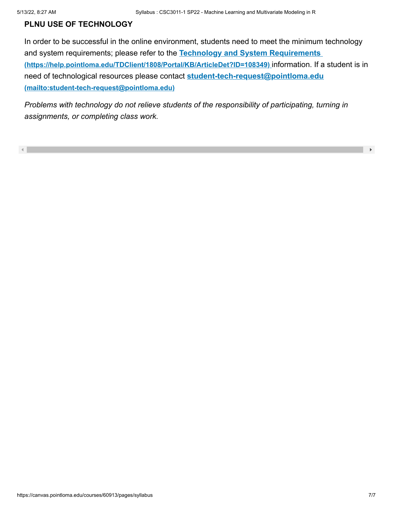## **PLNU USE OF TECHNOLOGY**

In order to be successful in the online environment, students need to meet the minimum technology and system requirements; please refer to the **Technology and System Requirements [\(https://help.pointloma.edu/TDClient/1808/Portal/KB/ArticleDet?ID=108349\)](https://help.pointloma.edu/TDClient/1808/Portal/KB/ArticleDet?ID=108349)** information. If a student is in [need of technological resources please contact](mailto:student-tech-request@pointloma.edu) **student-tech-request@pointloma.edu (mailto:student-tech-request@pointloma.edu)**

*Problems with technology do not relieve students of the responsibility of participating, turning in assignments, or completing class work.*

 $\mathbf{F}$